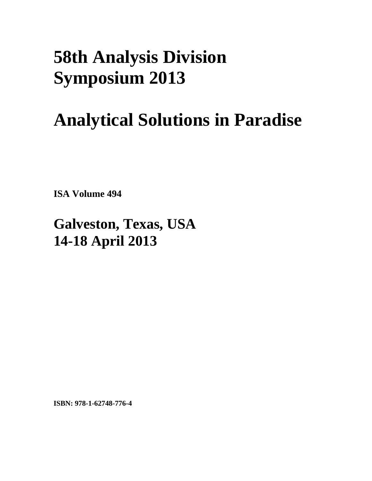## **58th Analysis Division Symposium 2013**

## **Analytical Solutions in Paradise**

**ISA Volume 494** 

## **Galveston, Texas, USA 14-18 April 2013**

**ISBN: 978-1-62748-776-4**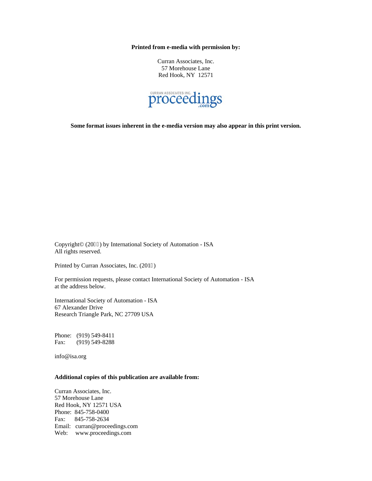**Printed from e-media with permission by:** 

Curran Associates, Inc. 57 Morehouse Lane Red Hook, NY 12571



**Some format issues inherent in the e-media version may also appear in this print version.** 

Copyright© (2035) by International Society of Automation - ISA All rights reserved.

Printed by Curran Associates, Inc. (2015)

For permission requests, please contact International Society of Automation - ISA at the address below.

International Society of Automation - ISA 67 Alexander Drive Research Triangle Park, NC 27709 USA

Phone: (919) 549-8411 Fax: (919) 549-8288

info@isa.org

## **Additional copies of this publication are available from:**

Curran Associates, Inc. 57 Morehouse Lane Red Hook, NY 12571 USA Phone: 845-758-0400 Fax: 845-758-2634 Email: curran@proceedings.com Web: www.proceedings.com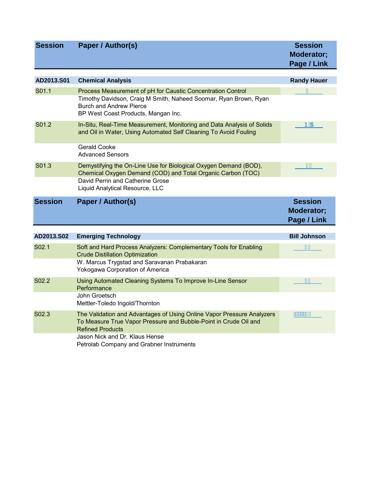| <b>Session</b>     | <b>Paper / Author(s)</b>                                                                                                                                                                                 | <b>Session</b><br>Moderator;<br>Page / Link |
|--------------------|----------------------------------------------------------------------------------------------------------------------------------------------------------------------------------------------------------|---------------------------------------------|
| AD2013.S01         | <b>Chemical Analysis</b>                                                                                                                                                                                 | <b>Randy Hauer</b>                          |
| S01.1              | Process Measurement of pH for Caustic Concentration Control<br>Timothy Davidson, Craig M Smith, Naheed Soomar, Ryan Brown, Ryan<br><b>Burch and Andrew Pierce</b><br>BP West Coast Products, Mangan Inc. | F                                           |
| S01.2              | In-Situ, Real-Time Measurement, Monitoring and Data Analysis of Solids<br>and Oil in Water, Using Automated Self Cleaning To Avoid Fouling<br>Gerald Cooke                                               | <b>PEDE</b>                                 |
|                    | <b>Advanced Sensors</b>                                                                                                                                                                                  |                                             |
| S01.3              | Demystifying the On-Line Use for Biological Oxygen Demand (BOD),<br>Chemical Oxygen Demand (COD) and Total Organic Carbon (TOC)                                                                          | F€                                          |
|                    | David Perrin and Catherine Grose<br>Liquid Analytical Resource, LLC                                                                                                                                      |                                             |
| <b>Session</b>     | <b>Paper / Author(s)</b>                                                                                                                                                                                 | <b>Session</b><br>Moderator;<br>Page / Link |
| AD2013.S02         | <b>Emerging Technology</b>                                                                                                                                                                               | <b>Bill Johnson</b>                         |
| S <sub>0</sub> 2.1 | Soft and Hard Process Analyzers: Complementary Tools for Enabling<br><b>Crude Distillation Optimization</b><br>W. Marcus Trygstad and Saravanan Prabakaran                                               | Œ                                           |
| S02.2              | Yokogawa Corporation of America<br>Using Automated Cleaning Systems To Improve In-Line Sensor<br>Performance                                                                                             | TH.                                         |
|                    | John Groetsch<br>Mettler-Toledo Ingold/Thornton                                                                                                                                                          |                                             |
|                    |                                                                                                                                                                                                          |                                             |
| S02.3              | The Validation and Advantages of Using Online Vapor Pressure Analyzers<br>To Measure True Vapor Pressure and Bubble-Point in Crude Oil and<br><b>Refined Products</b>                                    |                                             |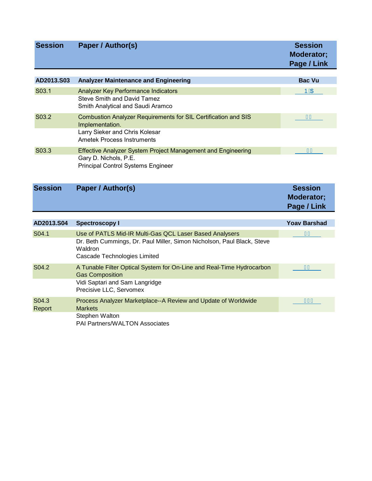| <b>Session</b>  | Paper / Author(s)                                                                                                                                                            | <b>Session</b><br>Moderator;<br>Page / Link |
|-----------------|------------------------------------------------------------------------------------------------------------------------------------------------------------------------------|---------------------------------------------|
| AD2013.S03      | <b>Analyzer Maintenance and Engineering</b>                                                                                                                                  | <b>Bac Vu</b>                               |
| S03.1           | Analyzer Key Performance Indicators                                                                                                                                          | <b>PEDE</b>                                 |
|                 | <b>Steve Smith and David Tamez</b><br>Smith Analytical and Saudi Aramco                                                                                                      |                                             |
| S03.2           | Combustion Analyzer Requirements for SIL Certification and SIS<br>Implementation.                                                                                            |                                             |
|                 | Larry Sieker and Chris Kolesar<br><b>Ametek Process Instruments</b>                                                                                                          |                                             |
| S03.3           | Effective Analyzer System Project Management and Engineering<br>Gary D. Nichols, P.E.<br><b>Principal Control Systems Engineer</b>                                           | ΪÌ                                          |
| <b>Session</b>  | Paper / Author(s)                                                                                                                                                            | <b>Session</b><br>Moderator;<br>Page / Link |
| AD2013.S04      | <b>Spectroscopy I</b>                                                                                                                                                        | <b>Yoav Barshad</b>                         |
| S04.1           | Use of PATLS Mid-IR Multi-Gas QCL Laser Based Analysers<br>Dr. Beth Cummings, Dr. Paul Miller, Simon Nicholson, Paul Black, Steve<br>Waldron<br>Cascade Technologies Limited |                                             |
| S04.2           | A Tunable Filter Optical System for On-Line and Real-Time Hydrocarbon<br><b>Gas Composition</b><br>Vidi Saptari and Sam Langridge<br>Precisive LLC, Servomex                 | JI                                          |
| S04.3<br>Report | Process Analyzer Marketplace--A Review and Update of Worldwide<br><b>Markets</b>                                                                                             | F€Ì                                         |

PAI Partners/WALTON Associates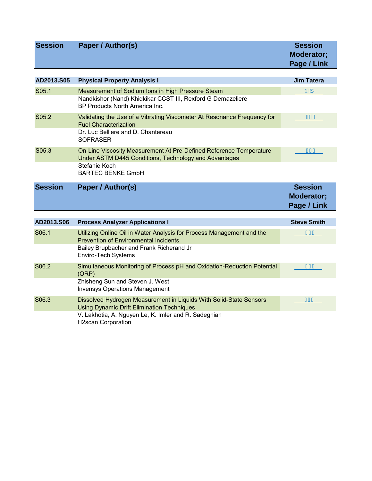| <b>Session</b> | Paper / Author(s)                                                                                                                                                               | <b>Session</b><br>Moderator;<br>Page / Link |
|----------------|---------------------------------------------------------------------------------------------------------------------------------------------------------------------------------|---------------------------------------------|
| AD2013.S05     | <b>Physical Property Analysis I</b>                                                                                                                                             | <b>Jim Tatera</b>                           |
|                |                                                                                                                                                                                 |                                             |
| S05.1          | Measurement of Sodium Ions in High Pressure Steam<br>Nandkishor (Nand) Khidkikar CCST III, Rexford G Demazeliere<br>BP Products North America Inc.                              | <b>ÞEDE</b>                                 |
| S05.2          | Validating the Use of a Vibrating Viscometer At Resonance Frequency for<br><b>Fuel Characterization</b>                                                                         | F€J                                         |
|                | Dr. Luc Belliere and D. Chantereau<br><b>SOFRASER</b>                                                                                                                           |                                             |
| S05.3          | On-Line Viscosity Measurement At Pre-Defined Reference Temperature<br>Under ASTM D445 Conditions, Technology and Advantages                                                     | FFİ                                         |
|                | Stefanie Koch<br><b>BARTEC BENKE GmbH</b>                                                                                                                                       |                                             |
| <b>Session</b> | Paper / Author(s)                                                                                                                                                               | <b>Session</b><br>Moderator;<br>Page / Link |
| AD2013.S06     | <b>Process Analyzer Applications I</b>                                                                                                                                          | <b>Steve Smith</b>                          |
| S06.1          | Utilizing Online Oil in Water Analysis for Process Management and the<br><b>Prevention of Environmental Incidents</b>                                                           | FG                                          |
|                | Bailey Brupbacher and Frank Richerand Jr<br>Enviro-Tech Systems                                                                                                                 |                                             |
| S06.2          | Simultaneous Monitoring of Process pH and Oxidation-Reduction Potential<br>(ORP)<br>Zhisheng Sun and Steven J. West                                                             | <b>FHJ</b>                                  |
|                | <b>Invensys Operations Management</b>                                                                                                                                           |                                             |
| S06.3          | Dissolved Hydrogen Measurement in Liquids With Solid-State Sensors<br><b>Using Dynamic Drift Elimination Techniques</b><br>V. Lakhotia, A. Nguyen Le, K. Imler and R. Sadeghian | FIÏ                                         |

H2scan Corporation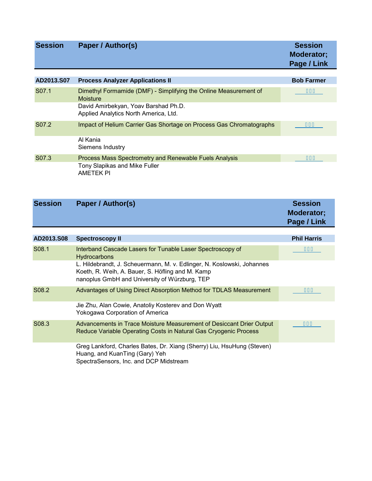| <b>Session</b>     | <b>Paper / Author(s)</b>                                                            | <b>Session</b><br>Moderator;<br>Page / Link |
|--------------------|-------------------------------------------------------------------------------------|---------------------------------------------|
|                    |                                                                                     |                                             |
| AD2013.S07         | <b>Process Analyzer Applications II</b>                                             | <b>Bob Farmer</b>                           |
| S <sub>07.1</sub>  | Dimethyl Formamide (DMF) - Simplifying the Online Measurement of<br><b>Moisture</b> | $F\hat{I} \in$                              |
|                    | David Amirbekyan, Yoav Barshad Ph.D.<br>Applied Analytics North America, Ltd.       |                                             |
| S <sub>0</sub> 7.2 | Impact of Helium Carrier Gas Shortage on Process Gas Chromatographs                 | FÎ F.                                       |
|                    | Al Kania<br>Siemens Industry                                                        |                                             |
| S07.3              | Process Mass Spectrometry and Renewable Fuels Analysis                              | FI H.                                       |
|                    | Tony Slapikas and Mike Fuller<br><b>AMETEK PI</b>                                   |                                             |

| <b>Session</b> | Paper / Author(s)      | <b>Session</b><br><b>Moderator:</b><br>Page / Link |
|----------------|------------------------|----------------------------------------------------|
|                |                        |                                                    |
| AD2013.S08     | <b>Spectroscopy II</b> | <b>Phil Harris</b>                                 |

| S <sub>0</sub> 8.1 | Interband Cascade Lasers for Tunable Laser Spectroscopy of<br><b>Hydrocarbons</b>                                                                                           | FJG.       |
|--------------------|-----------------------------------------------------------------------------------------------------------------------------------------------------------------------------|------------|
|                    | L. Hildebrandt, J. Scheuermann, M. v. Edlinger, N. Koslowski, Johannes<br>Koeth, R. Weih, A. Bauer, S. Höfling and M. Kamp<br>nanoplus GmbH and University of Würzburg, TEP |            |
| S <sub>0</sub> 8.2 | Advantages of Using Direct Absorption Method for TDLAS Measurement                                                                                                          | <b>FJI</b> |
|                    | Jie Zhu, Alan Cowie, Anatoliy Kosterev and Don Wyatt<br><b>Yokogawa Corporation of America</b>                                                                              |            |
| S <sub>0</sub> 8.3 | Advancements in Trace Moisture Measurement of Desiccant Drier Output<br>Reduce Variable Operating Costs in Natural Gas Cryogenic Process                                    | Œ€         |
|                    | Greg Lankford, Charles Bates, Dr. Xiang (Sherry) Liu, HsuHung (Steven)<br>Huang, and KuanTing (Gary) Yeh<br>SpectraSensors, Inc. and DCP Midstream                          |            |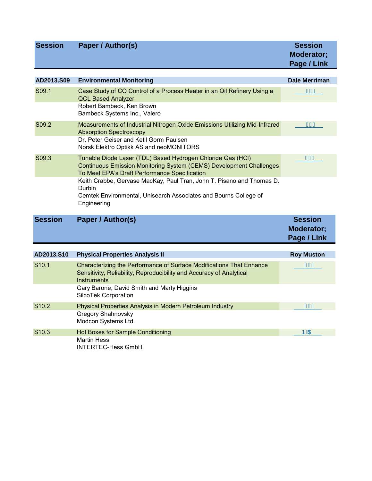| <b>Session</b>    | Paper / Author(s)                                                                                                                                                                                                                                                                                                                                                | <b>Session</b><br>Moderator;<br>Page / Link |
|-------------------|------------------------------------------------------------------------------------------------------------------------------------------------------------------------------------------------------------------------------------------------------------------------------------------------------------------------------------------------------------------|---------------------------------------------|
| AD2013.S09        | <b>Environmental Monitoring</b>                                                                                                                                                                                                                                                                                                                                  | Dale Merriman                               |
| S09.1             | Case Study of CO Control of a Process Heater in an Oil Refinery Using a<br><b>QCL Based Analyzer</b><br>Robert Bambeck, Ken Brown<br>Bambeck Systems Inc., Valero                                                                                                                                                                                                | G <sup>2</sup>                              |
| S09.2             | Measurements of Industrial Nitrogen Oxide Emissions Utilizing Mid-Infrared<br><b>Absorption Spectroscopy</b><br>Dr. Peter Geiser and Ketil Gorm Paulsen<br>Norsk Elektro Optikk AS and neoMONITORS                                                                                                                                                               | GHÏ                                         |
| S09.3             | Tunable Diode Laser (TDL) Based Hydrogen Chloride Gas (HCl)<br><b>Continuous Emission Monitoring System (CEMS) Development Challenges</b><br>To Meet EPA's Draft Performance Specification<br>Keith Crabbe, Gervase MacKay, Paul Tran, John T. Pisano and Thomas D.<br>Durbin<br>Cemtek Environmental, Unisearch Associates and Bourns College of<br>Engineering | <b>G</b> i                                  |
| <b>Session</b>    | Paper / Author(s)                                                                                                                                                                                                                                                                                                                                                | <b>Session</b><br>Moderator;<br>Page / Link |
| AD2013.S10        | <b>Physical Properties Analysis II</b>                                                                                                                                                                                                                                                                                                                           | <b>Roy Muston</b>                           |
| S <sub>10.1</sub> | Characterizing the Performance of Surface Modifications That Enhance<br>Sensitivity, Reliability, Reproducibility and Accuracy of Analytical<br><b>Instruments</b>                                                                                                                                                                                               | $\hat{d} \in$                               |
|                   | Gary Barone, David Smith and Marty Higgins<br>SilcoTek Corporation                                                                                                                                                                                                                                                                                               |                                             |
| S10.2             | Physical Properties Analysis in Modern Petroleum Industry<br><b>Gregory Shahnovsky</b><br>Modcon Systems Ltd.                                                                                                                                                                                                                                                    | $\vec{d} \in$                               |
| S <sub>10.3</sub> | Hot Boxes for Sample Conditioning<br><b>Martin Hess</b><br><b>INTERTEC-Hess GmbH</b>                                                                                                                                                                                                                                                                             | <b>ÞEDE</b>                                 |